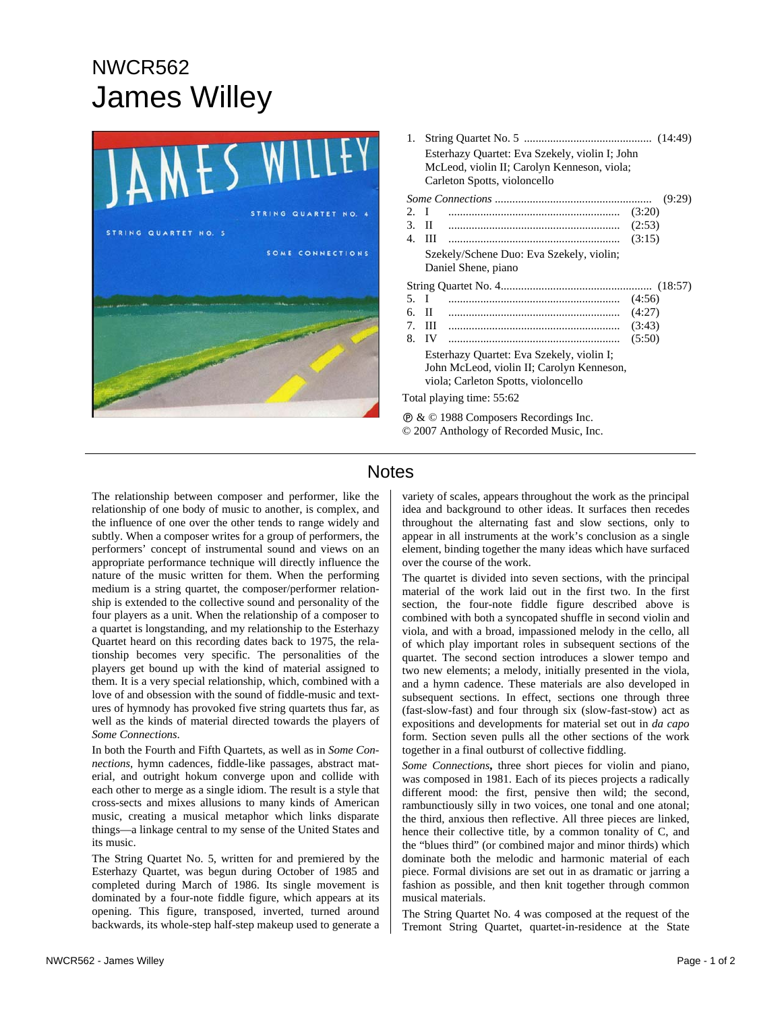## NWCR562 James Willey



| 1.                                                      |                                                |                                          |        |
|---------------------------------------------------------|------------------------------------------------|------------------------------------------|--------|
|                                                         | Esterhazy Quartet: Eva Szekely, violin I; John |                                          |        |
|                                                         | McLeod, violin II; Carolyn Kenneson, viola;    |                                          |        |
|                                                         |                                                | Carleton Spotts, violoncello             |        |
| (9:29)                                                  |                                                |                                          |        |
| 2. I                                                    |                                                |                                          |        |
| 3.                                                      | $\mathbf{H}$                                   |                                          | (2:53) |
| 4.                                                      | Ш                                              |                                          | (3:15) |
|                                                         |                                                | Szekely/Schene Duo: Eva Szekely, violin; |        |
|                                                         |                                                | Daniel Shene, piano                      |        |
|                                                         |                                                |                                          |        |
| 5.                                                      | I                                              |                                          |        |
| б.                                                      | $\Pi$                                          |                                          | (4:27) |
| $7_{\scriptscriptstyle{\circ}}$                         | III.                                           |                                          | (3:43) |
| 8.                                                      | IV                                             |                                          | (5:50) |
|                                                         | Esterhazy Quartet: Eva Szekely, violin I;      |                                          |        |
| John McLeod, violin II; Carolyn Kenneson,               |                                                |                                          |        |
|                                                         |                                                | viola; Carleton Spotts, violoncello      |        |
| Total playing time: 55:62                               |                                                |                                          |        |
| $\circledR \& \circledR$ 1988 Composers Recordings Inc. |                                                |                                          |        |

## **Notes**

The relationship between composer and performer, like the relationship of one body of music to another, is complex, and the influence of one over the other tends to range widely and subtly. When a composer writes for a group of performers, the performers' concept of instrumental sound and views on an appropriate performance technique will directly influence the nature of the music written for them. When the performing medium is a string quartet, the composer/performer relationship is extended to the collective sound and personality of the four players as a unit. When the relationship of a composer to a quartet is longstanding, and my relationship to the Esterhazy Quartet heard on this recording dates back to 1975, the relationship becomes very specific. The personalities of the players get bound up with the kind of material assigned to them. It is a very special relationship, which, combined with a love of and obsession with the sound of fiddle-music and textures of hymnody has provoked five string quartets thus far, as well as the kinds of material directed towards the players of *Some Connections*.

In both the Fourth and Fifth Quartets, as well as in *Some Connections*, hymn cadences, fiddle-like passages, abstract material, and outright hokum converge upon and collide with each other to merge as a single idiom. The result is a style that cross-sects and mixes allusions to many kinds of American music, creating a musical metaphor which links disparate things—a linkage central to my sense of the United States and its music.

The String Quartet No. 5, written for and premiered by the Esterhazy Quartet, was begun during October of 1985 and completed during March of 1986. Its single movement is dominated by a four-note fiddle figure, which appears at its opening. This figure, transposed, inverted, turned around backwards, its whole-step half-step makeup used to generate a

variety of scales, appears throughout the work as the principal idea and background to other ideas. It surfaces then recedes throughout the alternating fast and slow sections, only to appear in all instruments at the work's conclusion as a single element, binding together the many ideas which have surfaced over the course of the work.

© 2007 Anthology of Recorded Music, Inc.

The quartet is divided into seven sections, with the principal material of the work laid out in the first two. In the first section, the four-note fiddle figure described above is combined with both a syncopated shuffle in second violin and viola, and with a broad, impassioned melody in the cello, all of which play important roles in subsequent sections of the quartet. The second section introduces a slower tempo and two new elements; a melody, initially presented in the viola, and a hymn cadence. These materials are also developed in subsequent sections. In effect, sections one through three (fast-slow-fast) and four through six (slow-fast-stow) act as expositions and developments for material set out in *da capo* form. Section seven pulls all the other sections of the work together in a final outburst of collective fiddling.

*Some Connections***,** three short pieces for violin and piano, was composed in 1981. Each of its pieces projects a radically different mood: the first, pensive then wild; the second, rambunctiously silly in two voices, one tonal and one atonal; the third, anxious then reflective. All three pieces are linked, hence their collective title, by a common tonality of C, and the "blues third" (or combined major and minor thirds) which dominate both the melodic and harmonic material of each piece. Formal divisions are set out in as dramatic or jarring a fashion as possible, and then knit together through common musical materials.

The String Quartet No. 4 was composed at the request of the Tremont String Quartet, quartet-in-residence at the State